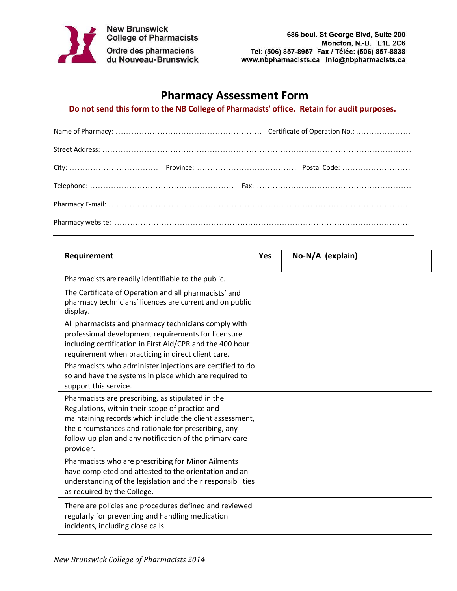

**New Brunswick<br>College of Pharmacists** Ordre des pharmaciens<br>du Nouveau-Brunswick

## **Pharmacy Assessment Form**

## **Do not send this form to the NB College of Pharmacists' office. Retain for audit purposes.**

| Requirement                                                                                                                                                                                                                                                                                      | <b>Yes</b> | No-N/A (explain) |
|--------------------------------------------------------------------------------------------------------------------------------------------------------------------------------------------------------------------------------------------------------------------------------------------------|------------|------------------|
| Pharmacists are readily identifiable to the public.                                                                                                                                                                                                                                              |            |                  |
| The Certificate of Operation and all pharmacists' and<br>pharmacy technicians' licences are current and on public<br>display.                                                                                                                                                                    |            |                  |
| All pharmacists and pharmacy technicians comply with<br>professional development requirements for licensure<br>including certification in First Aid/CPR and the 400 hour<br>requirement when practicing in direct client care.                                                                   |            |                  |
| Pharmacists who administer injections are certified to do<br>so and have the systems in place which are required to<br>support this service.                                                                                                                                                     |            |                  |
| Pharmacists are prescribing, as stipulated in the<br>Regulations, within their scope of practice and<br>maintaining records which include the client assessment,<br>the circumstances and rationale for prescribing, any<br>follow-up plan and any notification of the primary care<br>provider. |            |                  |
| Pharmacists who are prescribing for Minor Ailments<br>have completed and attested to the orientation and an<br>understanding of the legislation and their responsibilities<br>as required by the College.                                                                                        |            |                  |
| There are policies and procedures defined and reviewed<br>regularly for preventing and handling medication<br>incidents, including close calls.                                                                                                                                                  |            |                  |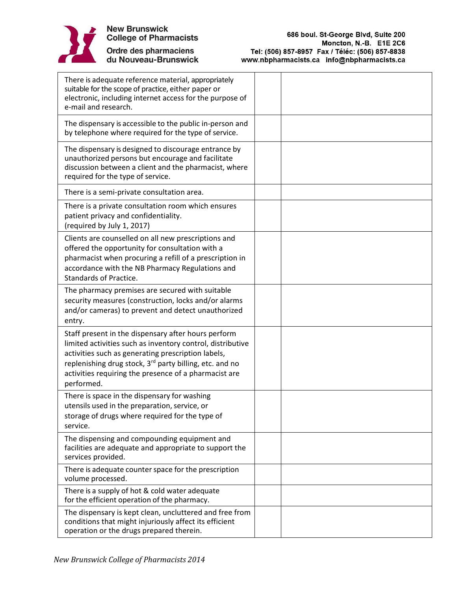

Ordre des pharmaciens<br>du Nouveau-Brunswick

| There is adequate reference material, appropriately<br>suitable for the scope of practice, either paper or<br>electronic, including internet access for the purpose of<br>e-mail and research.                                                                                                                        |  |
|-----------------------------------------------------------------------------------------------------------------------------------------------------------------------------------------------------------------------------------------------------------------------------------------------------------------------|--|
| The dispensary is accessible to the public in-person and<br>by telephone where required for the type of service.                                                                                                                                                                                                      |  |
| The dispensary is designed to discourage entrance by<br>unauthorized persons but encourage and facilitate<br>discussion between a client and the pharmacist, where<br>required for the type of service.                                                                                                               |  |
| There is a semi-private consultation area.                                                                                                                                                                                                                                                                            |  |
| There is a private consultation room which ensures<br>patient privacy and confidentiality.<br>(required by July 1, 2017)                                                                                                                                                                                              |  |
| Clients are counselled on all new prescriptions and<br>offered the opportunity for consultation with a<br>pharmacist when procuring a refill of a prescription in<br>accordance with the NB Pharmacy Regulations and<br><b>Standards of Practice.</b>                                                                 |  |
| The pharmacy premises are secured with suitable<br>security measures (construction, locks and/or alarms<br>and/or cameras) to prevent and detect unauthorized<br>entry.                                                                                                                                               |  |
| Staff present in the dispensary after hours perform<br>limited activities such as inventory control, distributive<br>activities such as generating prescription labels,<br>replenishing drug stock, 3 <sup>rd</sup> party billing, etc. and no<br>activities requiring the presence of a pharmacist are<br>performed. |  |
| There is space in the dispensary for washing<br>utensils used in the preparation, service, or<br>storage of drugs where required for the type of<br>service.                                                                                                                                                          |  |
| The dispensing and compounding equipment and<br>facilities are adequate and appropriate to support the<br>services provided.                                                                                                                                                                                          |  |
| There is adequate counter space for the prescription<br>volume processed.                                                                                                                                                                                                                                             |  |
| There is a supply of hot & cold water adequate<br>for the efficient operation of the pharmacy.                                                                                                                                                                                                                        |  |
| The dispensary is kept clean, uncluttered and free from<br>conditions that might injuriously affect its efficient<br>operation or the drugs prepared therein.                                                                                                                                                         |  |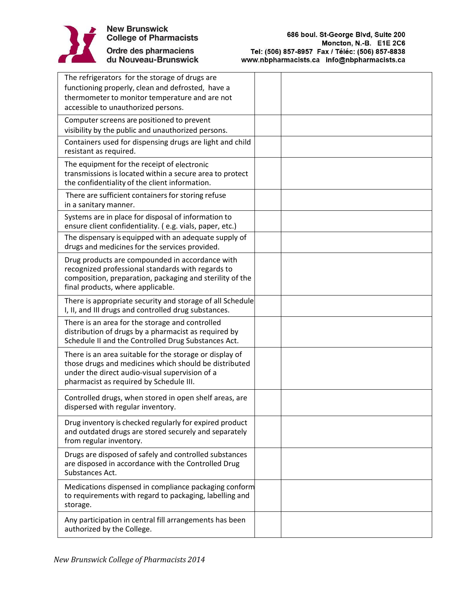

| The refrigerators for the storage of drugs are<br>functioning properly, clean and defrosted, have a<br>thermometer to monitor temperature and are not                                                         |  |
|---------------------------------------------------------------------------------------------------------------------------------------------------------------------------------------------------------------|--|
| accessible to unauthorized persons.                                                                                                                                                                           |  |
| Computer screens are positioned to prevent<br>visibility by the public and unauthorized persons.                                                                                                              |  |
| Containers used for dispensing drugs are light and child<br>resistant as required.                                                                                                                            |  |
| The equipment for the receipt of electronic<br>transmissions is located within a secure area to protect<br>the confidentiality of the client information.                                                     |  |
| There are sufficient containers for storing refuse<br>in a sanitary manner.                                                                                                                                   |  |
| Systems are in place for disposal of information to<br>ensure client confidentiality. (e.g. vials, paper, etc.)                                                                                               |  |
| The dispensary is equipped with an adequate supply of<br>drugs and medicines for the services provided.                                                                                                       |  |
| Drug products are compounded in accordance with<br>recognized professional standards with regards to<br>composition, preparation, packaging and sterility of the<br>final products, where applicable.         |  |
| There is appropriate security and storage of all Schedule<br>I, II, and III drugs and controlled drug substances.                                                                                             |  |
| There is an area for the storage and controlled<br>distribution of drugs by a pharmacist as required by<br>Schedule II and the Controlled Drug Substances Act.                                                |  |
| There is an area suitable for the storage or display of<br>those drugs and medicines which should be distributed<br>under the direct audio-visual supervision of a<br>pharmacist as required by Schedule III. |  |
| Controlled drugs, when stored in open shelf areas, are<br>dispersed with regular inventory.                                                                                                                   |  |
| Drug inventory is checked regularly for expired product<br>and outdated drugs are stored securely and separately<br>from regular inventory.                                                                   |  |
| Drugs are disposed of safely and controlled substances<br>are disposed in accordance with the Controlled Drug<br>Substances Act.                                                                              |  |
| Medications dispensed in compliance packaging conform<br>to requirements with regard to packaging, labelling and<br>storage.                                                                                  |  |
| Any participation in central fill arrangements has been<br>authorized by the College.                                                                                                                         |  |